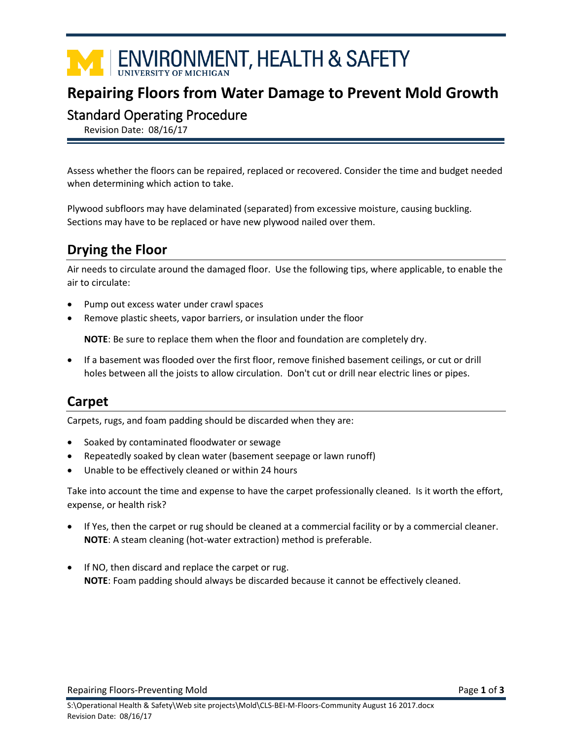# **TENVIRONMENT, HEALTH & SAFETY**

## **Repairing Floors from Water Damage to Prevent Mold Growth**

#### Standard Operating Procedure

Revision Date: 08/16/17

Assess whether the floors can be repaired, replaced or recovered. Consider the time and budget needed when determining which action to take.

Plywood subfloors may have delaminated (separated) from excessive moisture, causing buckling. Sections may have to be replaced or have new plywood nailed over them.

# **Drying the Floor**

Air needs to circulate around the damaged floor. Use the following tips, where applicable, to enable the air to circulate:

- Pump out excess water under crawl spaces
- Remove plastic sheets, vapor barriers, or insulation under the floor

**NOTE**: Be sure to replace them when the floor and foundation are completely dry.

 If a basement was flooded over the first floor, remove finished basement ceilings, or cut or drill holes between all the joists to allow circulation. Don't cut or drill near electric lines or pipes.

## **Carpet**

Carpets, rugs, and foam padding should be discarded when they are:

- Soaked by contaminated floodwater or sewage
- Repeatedly soaked by clean water (basement seepage or lawn runoff)
- Unable to be effectively cleaned or within 24 hours

Take into account the time and expense to have the carpet professionally cleaned. Is it worth the effort, expense, or health risk?

- If Yes, then the carpet or rug should be cleaned at a commercial facility or by a commercial cleaner. **NOTE**: A steam cleaning (hot-water extraction) method is preferable.
- If NO, then discard and replace the carpet or rug. **NOTE**: Foam padding should always be discarded because it cannot be effectively cleaned.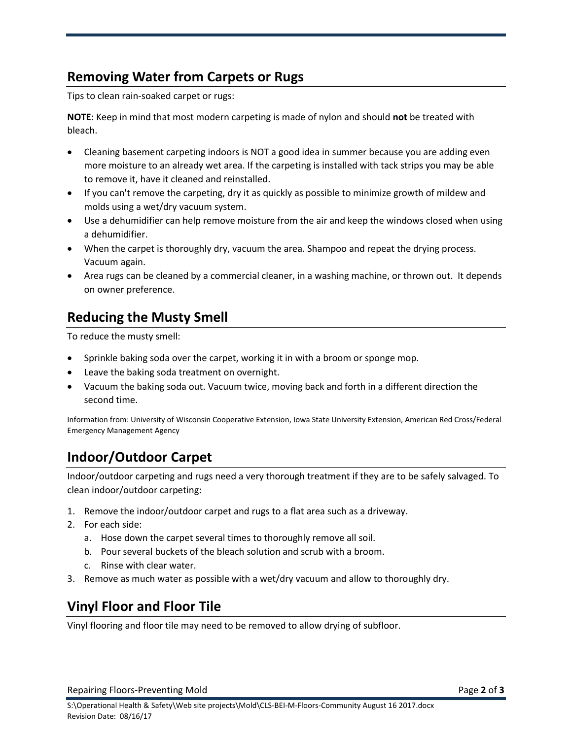#### **Removing Water from Carpets or Rugs**

Tips to clean rain-soaked carpet or rugs:

**NOTE**: Keep in mind that most modern carpeting is made of nylon and should **not** be treated with bleach.

- Cleaning basement carpeting indoors is NOT a good idea in summer because you are adding even more moisture to an already wet area. If the carpeting is installed with tack strips you may be able to remove it, have it cleaned and reinstalled.
- If you can't remove the carpeting, dry it as quickly as possible to minimize growth of mildew and molds using a wet/dry vacuum system.
- Use a dehumidifier can help remove moisture from the air and keep the windows closed when using a dehumidifier.
- When the carpet is thoroughly dry, vacuum the area. Shampoo and repeat the drying process. Vacuum again.
- Area rugs can be cleaned by a commercial cleaner, in a washing machine, or thrown out. It depends on owner preference.

#### **Reducing the Musty Smell**

To reduce the musty smell:

- Sprinkle baking soda over the carpet, working it in with a broom or sponge mop.
- Leave the baking soda treatment on overnight.
- Vacuum the baking soda out. Vacuum twice, moving back and forth in a different direction the second time.

Information from: University of Wisconsin Cooperative Extension, Iowa State University Extension, American Red Cross/Federal Emergency Management Agency

## **Indoor/Outdoor Carpet**

Indoor/outdoor carpeting and rugs need a very thorough treatment if they are to be safely salvaged. To clean indoor/outdoor carpeting:

- 1. Remove the indoor/outdoor carpet and rugs to a flat area such as a driveway.
- 2. For each side:
	- a. Hose down the carpet several times to thoroughly remove all soil.
	- b. Pour several buckets of the bleach solution and scrub with a broom.
	- c. Rinse with clear water.
- 3. Remove as much water as possible with a wet/dry vacuum and allow to thoroughly dry.

#### **Vinyl Floor and Floor Tile**

Vinyl flooring and floor tile may need to be removed to allow drying of subfloor.